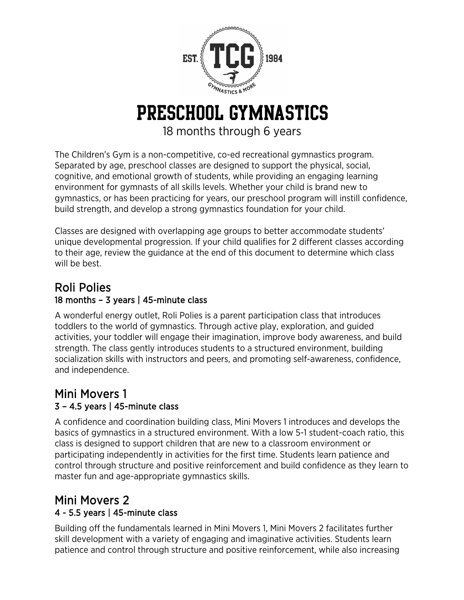

#### Preschool Gymnastics

18 months through 6 years

The Children's Gym is a non-competitive, co-ed recreational gymnastics program. Separated by age, preschool classes are designed to support the physical, social, cognitive, and emotional growth of students, while providing an engaging learning environment for gymnasts of all skills levels. Whether your child is brand new to gymnastics, or has been practicing for years, our preschool program will instill confidence, build strength, and develop a strong gymnastics foundation for your child.

Classes are designed with overlapping age groups to better accommodate students' unique developmental progression. If your child qualifies for 2 different classes according to their age, review the guidance at the end of this document to determine which class will be best.

# Roli Polies<br>18 months - 3 years | 45-minute class

A wonderful energy outlet, Roli Polies is a parent participation class that introduces toddlers to the world of gymnastics. Through active play, exploration, and guided activities, your toddler will engage their imagination, improve body awareness, and build strength. The class gently introduces students to a structured environment, building socialization skills with instructors and peers, and promoting self-awareness, confidence, and independence.

### Mini Movers 1 3 – 4.5 years | 45-minute class

A confidence and coordination building class, Mini Movers 1 introduces and develops the basics of gymnastics in a structured environment. With a low 5-1 student-coach ratio, this class is designed to support children that are new to a classroom environment or participating independently in activities for the first time. Students learn patience and control through structure and positive reinforcement and build confidence as they learn to master fun and age-appropriate gymnastics skills.

## Mini Movers 2 4 - 5.5 years | 45-minute class

Building off the fundamentals learned in Mini Movers 1, Mini Movers 2 facilitates further skill development with a variety of engaging and imaginative activities. Students learn patience and control through structure and positive reinforcement, while also increasing